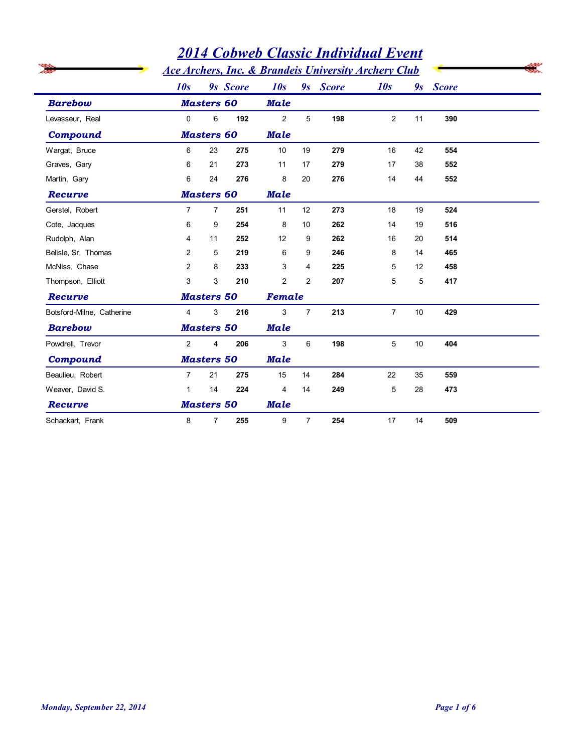|                                                      |                | <b>2014 Cobweb Classic Individual Event</b> |          |                         |                |          |                                                                        |    |              |  |
|------------------------------------------------------|----------------|---------------------------------------------|----------|-------------------------|----------------|----------|------------------------------------------------------------------------|----|--------------|--|
| <b>Barebow</b><br>Levasseur, Real<br><b>Compound</b> |                |                                             |          |                         |                |          | <b>Ace Archers, Inc. &amp; Brandeis University Archery Club</b><br>10s |    |              |  |
|                                                      | 10s            | <b>Masters 60</b>                           | 9s Score | 10s<br><b>Male</b>      |                | 9s Score |                                                                        | 9s | <b>Score</b> |  |
|                                                      | $\mathbf 0$    | 6                                           | 192      | $\overline{2}$          | 5              | 198      | $\overline{2}$                                                         | 11 | 390          |  |
|                                                      |                | <b>Masters 60</b>                           |          | <b>Male</b>             |                |          |                                                                        |    |              |  |
| Wargat, Bruce                                        | 6              | 23                                          | 275      | 10                      | 19             | 279      | 16                                                                     | 42 | 554          |  |
| Graves, Gary                                         | 6              | 21                                          | 273      | 11                      | 17             | 279      | 17                                                                     | 38 | 552          |  |
| Martin, Gary                                         | 6              | 24                                          | 276      | 8                       | 20             | 276      | 14                                                                     | 44 | 552          |  |
| Recurve                                              |                | <b>Masters 60</b>                           |          | <b>Male</b>             |                |          |                                                                        |    |              |  |
| Gerstel, Robert                                      | $\overline{7}$ | $\overline{7}$                              | 251      | 11                      | 12             | 273      | 18                                                                     | 19 | 524          |  |
| Cote, Jacques                                        | 6              | 9                                           | 254      | 8                       | 10             | 262      | 14                                                                     | 19 | 516          |  |
| Rudolph, Alan                                        | 4              | 11                                          | 252      | $12 \overline{ }$       | 9              | 262      | 16                                                                     | 20 | 514          |  |
| Belisle, Sr, Thomas                                  | $\overline{2}$ | 5                                           | 219      | 6                       | 9              | 246      | 8                                                                      | 14 | 465          |  |
| McNiss, Chase                                        | 2              | 8                                           | 233      | 3                       | 4              | 225      | 5                                                                      | 12 | 458          |  |
| Thompson, Elliott                                    | 3              | 3                                           | 210      | $\overline{2}$          | 2              | 207      | 5                                                                      | 5  | 417          |  |
| Recurve                                              |                | <b>Masters 50</b>                           |          |                         |                |          |                                                                        |    |              |  |
| Botsford-Milne, Catherine                            | $\overline{4}$ | 3                                           | 216      | 3                       | $\overline{7}$ | 213      | $\overline{7}$                                                         | 10 | 429          |  |
| <b>Barebow</b>                                       |                | <b>Masters 50</b>                           |          | <b>Male</b>             |                |          |                                                                        |    |              |  |
| Powdrell, Trevor                                     | $\overline{2}$ | 4                                           | 206      | 3                       | 6              | 198      | 5                                                                      | 10 | 404          |  |
| <b>Compound</b>                                      |                | <b>Masters 50</b>                           |          | <b>Male</b>             |                |          |                                                                        |    |              |  |
| Beaulieu, Robert                                     | $\overline{7}$ | 21                                          | 275      | 15                      | 14             | 284      | 22                                                                     | 35 | 559          |  |
| Weaver, David S.                                     | $\mathbf{1}$   | 14                                          | 224      | $\overline{\mathbf{4}}$ | 14             | 249      | $\overline{5}$                                                         | 28 | 473          |  |
| Recurve                                              |                | <b>Masters 50</b>                           |          | <b>Male</b>             |                |          |                                                                        |    |              |  |
| Schackart, Frank                                     | $\bf 8$        | $\overline{7}$                              | 255      | $9\,$                   | $\overline{7}$ | 254      | 17                                                                     | 14 | 509          |  |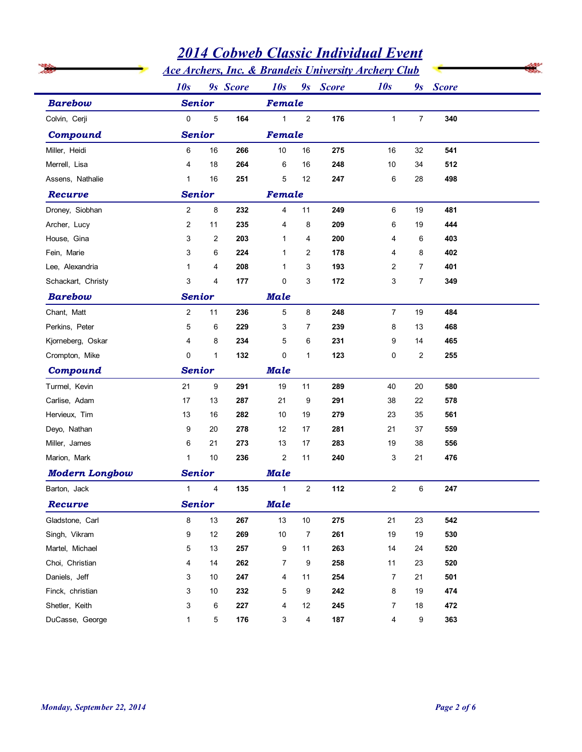|                                   |                   |                         |             |                  |                | <b>Ace Archers, Inc. &amp; Brandeis University Archery Club</b> |                           |                |            |  |
|-----------------------------------|-------------------|-------------------------|-------------|------------------|----------------|-----------------------------------------------------------------|---------------------------|----------------|------------|--|
| <b>Barebow</b><br>Colvin, Cerji   | 10s<br>9s Score   |                         |             | 10s              |                | 9s Score                                                        | 10s                       |                | 9s Score   |  |
|                                   | <b>Senior</b>     |                         |             | Female           |                |                                                                 |                           |                |            |  |
|                                   | $\mathbf 0$       | 5                       | 164         | $\mathbf 1$      | $\overline{2}$ | 176                                                             | $\mathbf{1}$              | $\overline{7}$ | 340        |  |
| <b>Compound</b>                   | <b>Senior</b>     |                         |             |                  | Female         |                                                                 |                           |                |            |  |
| Miller, Heidi                     | 6                 | 16                      | 266         | 10               | 16             | 275                                                             | 16                        | 32             | 541        |  |
| Merrell, Lisa                     | 4                 | 18                      | 264         | 6                | 16             | 248                                                             | 10                        | 34             | 512        |  |
| Assens, Nathalie                  | $\mathbf{1}$      | 16                      | 251         | 5                | 12             | 247                                                             | 6                         | 28             | 498        |  |
| Recurve                           | <b>Senior</b>     |                         |             | Female           |                |                                                                 |                           |                |            |  |
| Droney, Siobhan                   | $\overline{2}$    | 8                       | 232         | 4                | 11             | 249                                                             | 6                         | 19             | 481        |  |
| Archer, Lucy                      | $\overline{2}$    | 11                      | 235         | $\overline{4}$   | 8              | 209                                                             | 6                         | 19             | 444        |  |
| House, Gina                       | 3                 | 2                       | 203         | $\mathbf{1}$     | 4              | 200                                                             | 4                         | 6              | 403        |  |
| Fein, Marie                       | 3                 | 6                       | 224         | $\mathbf{1}$     | $\overline{2}$ | 178                                                             | 4                         | 8              | 402        |  |
| Lee, Alexandria                   | $\mathbf{1}$      | 4                       | 208         | $\mathbf{1}$     | 3              | 193                                                             | 2                         | $\overline{7}$ | 401        |  |
| Schackart, Christy                | 3                 | 4                       | 177         | $\mathbf 0$      | 3              | 172                                                             | 3                         | $\overline{7}$ | 349        |  |
| <b>Barebow</b>                    | <b>Senior</b>     |                         |             | <b>Male</b>      |                |                                                                 |                           |                |            |  |
| Chant, Matt                       | $\overline{2}$    | 11                      | 236         | 5                | 8              | 248                                                             | $\overline{7}$            | 19             | 484        |  |
| Perkins, Peter                    | 5                 | 6                       | 229         | 3                | 7              | 239                                                             | 8                         | 13             | 468        |  |
| Kjorneberg, Oskar                 | 4                 | 8                       | 234         | 5                | 6              | 231                                                             | 9                         | 14             | 465        |  |
| Crompton, Mike                    | 0                 | $\mathbf{1}$            | 132         | $\mathsf 0$      | $\mathbf{1}$   | 123                                                             | $\mathsf 0$               | $\overline{c}$ | 255        |  |
| <b>Compound</b>                   | <b>Senior</b>     |                         | <b>Male</b> |                  |                |                                                                 |                           |                |            |  |
| Turmel, Kevin                     | 21                | 9                       | 291         | 19               | 11             | 289                                                             | 40                        | $20\,$         | 580        |  |
| Carlise, Adam                     | 17                | 13                      | 287         | 21               | 9              | 291                                                             | $38\,$                    | 22             | 578        |  |
| Hervieux, Tim                     | 13                | 16                      | 282         | 10               | 19             | 279                                                             | 23                        | 35             | 561        |  |
| Deyo, Nathan                      | 9                 | 20                      | 278         | 12               | 17             | 281                                                             | 21                        | 37             | 559        |  |
| Miller, James                     | 6                 | 21                      | 273         | 13               | 17             | 283                                                             | 19                        | 38             | 556        |  |
| Marion, Mark                      | $\mathbf{1}$      | 10                      | 236         | $\boldsymbol{2}$ | 11             | 240                                                             | $\ensuremath{\mathsf{3}}$ | 21             | 476        |  |
| <b>Modern Longbow</b>             | <b>Senior</b>     |                         |             | <b>Male</b>      |                |                                                                 |                           |                |            |  |
| Barton, Jack                      | $\mathbf{1}$      | $\overline{\mathbf{4}}$ | 135         | 1                | $\overline{2}$ | 112                                                             | $\overline{a}$            | 6              | 247        |  |
| Recurve                           | <b>Senior</b>     |                         |             | <b>Male</b>      |                |                                                                 |                           |                |            |  |
| Gladstone, Carl                   | 8                 | 13                      | 267         | 13               | $10$           | 275                                                             | 21                        | 23             | 542        |  |
| Singh, Vikram                     | 9                 | $12$                    | 269         | 10               | $\overline{7}$ | 261                                                             | 19                        | 19             | 530        |  |
| Martel, Michael                   | 5                 | 13                      | 257         | 9                | 11             | 263                                                             | 14                        | 24             | 520        |  |
| Choi, Christian                   | 4                 | 14                      | 262         | $\overline{7}$   | 9              | 258                                                             | 11                        | 23             | 520        |  |
| Daniels, Jeff                     | 3                 | 10                      | 247         | 4                | 11             | 254                                                             | $\overline{7}$            | 21             | 501        |  |
| Finck, christian                  | 3                 | 10                      | 232         | 5                | 9              | 242                                                             | 8                         | 19             | 474        |  |
| Shetler, Keith<br>DuCasse, George | 3<br>$\mathbf{1}$ | 6<br>5                  | 227<br>176  | 4<br>3           | 12<br>4        | 245<br>187                                                      | $\overline{7}$<br>4       | 18<br>9        | 472<br>363 |  |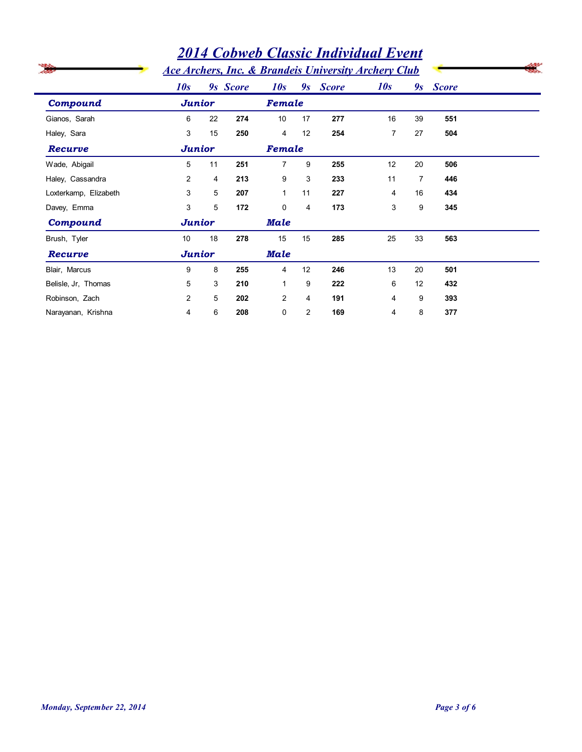|                       | <b>Ace Archers, Inc. &amp; Brandeis University Archery Club</b> | <b>2014 Cobweb Classic Individual Event</b> |          |                |                |          |                |                |          |  |
|-----------------------|-----------------------------------------------------------------|---------------------------------------------|----------|----------------|----------------|----------|----------------|----------------|----------|--|
|                       | 10s                                                             |                                             | 9s Score | 10s            |                | 9s Score | 10s            |                | 9s Score |  |
| <b>Compound</b>       |                                                                 | <b>Junior</b>                               |          |                | <b>Female</b>  |          |                |                |          |  |
| Gianos, Sarah         | 6                                                               | 22                                          | 274      | 10             | 17             | 277      | 16             | 39             | 551      |  |
| Haley, Sara           | 3                                                               | 15                                          | 250      | $\overline{4}$ | 12             | 254      | $\overline{7}$ | 27             | 504      |  |
| Recurve               | <b>Junior</b>                                                   |                                             |          | Female         |                |          |                |                |          |  |
| Wade, Abigail         | 5                                                               | 11                                          | 251      | $\overline{7}$ | 9              | 255      | 12             | 20             | 506      |  |
| Haley, Cassandra      | 2                                                               | 4                                           | 213      | 9              | 3              | 233      | 11             | $\overline{7}$ | 446      |  |
| Loxterkamp, Elizabeth | 3                                                               | 5                                           | 207      | $\mathbf{1}$   | 11             | 227      | 4              | 16             | 434      |  |
| Davey, Emma           | 3                                                               | 5                                           | 172      | $\Omega$       | $\overline{4}$ | 173      | 3              | 9              | 345      |  |
| Compound              | <b>Junior</b>                                                   |                                             |          | <b>Male</b>    |                |          |                |                |          |  |
| Brush, Tyler          | 10                                                              | 18                                          | 278      | 15             | 15             | 285      | 25             | 33             | 563      |  |
| Recurve               | <b>Junior</b>                                                   |                                             |          | <b>Male</b>    |                |          |                |                |          |  |
| Blair, Marcus         | 9                                                               | 8                                           | 255      | $\overline{4}$ | 12             | 246      | 13             | 20             | 501      |  |
| Belisle, Jr, Thomas   | 5                                                               | 3                                           | 210      | $\mathbf{1}$   | 9              | 222      | 6              | 12             | 432      |  |
| Robinson, Zach        | 2                                                               | 5                                           | 202      | $\overline{2}$ | $\overline{4}$ | 191      | $\overline{4}$ | 9              | 393      |  |
| Narayanan, Krishna    | 4                                                               | 6                                           | 208      | 0              | $\overline{2}$ | 169      | $\overline{4}$ | 8              | 377      |  |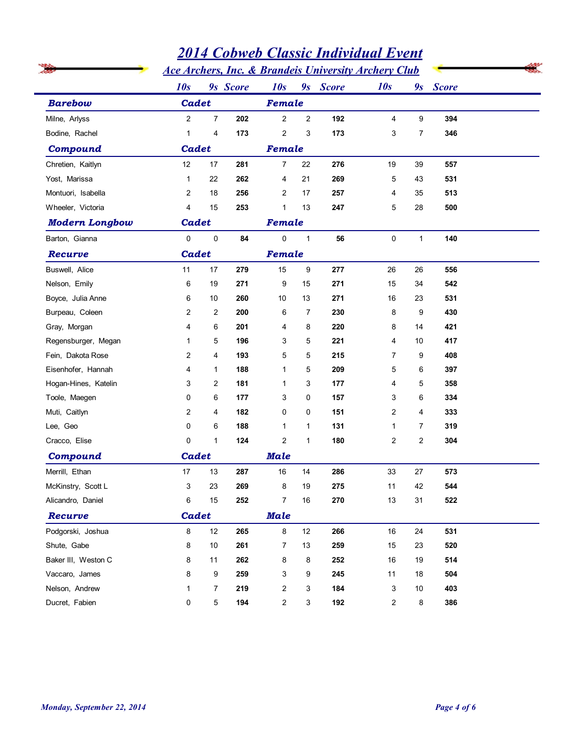|                       |                           | <b>2014 Cobweb Classic Individual Event</b> |          |                |                                                                 |          |                |                |              |  |
|-----------------------|---------------------------|---------------------------------------------|----------|----------------|-----------------------------------------------------------------|----------|----------------|----------------|--------------|--|
|                       |                           |                                             |          |                | <b>Ace Archers, Inc. &amp; Brandeis University Archery Club</b> |          |                |                |              |  |
| <b>Barebow</b>        | 10s                       |                                             | 9s Score | 10s            |                                                                 | 9s Score | 10s            | 9s             | <b>Score</b> |  |
|                       | Cadet                     |                                             |          | Female         |                                                                 |          |                |                |              |  |
| Milne, Arlyss         | $\overline{2}$            | $\overline{7}$                              | 202      | $\overline{2}$ | $\overline{2}$                                                  | 192      | 4              | 9              | 394          |  |
| Bodine, Rachel        | $\mathbf{1}$              | 4                                           | 173      | $\overline{c}$ | 3                                                               | 173      | 3              | $\overline{7}$ | 346          |  |
| <b>Compound</b>       | Cadet                     |                                             |          | Female         |                                                                 |          |                |                |              |  |
| Chretien, Kaitlyn     | 12                        | 17                                          | 281      | 7              | 22                                                              | 276      | 19             | 39             | 557          |  |
| Yost, Marissa         | $\mathbf{1}$              | 22                                          | 262      | 4              | 21                                                              | 269      | 5              | 43             | 531          |  |
| Montuori, Isabella    | $\overline{2}$            | 18                                          | 256      | 2              | 17                                                              | 257      | 4              | 35             | 513          |  |
| Wheeler, Victoria     | $\overline{4}$            | 15                                          | 253      | $\mathbf 1$    | 13                                                              | 247      | 5              | 28             | 500          |  |
| <b>Modern Longbow</b> | Cadet                     |                                             |          | Female         |                                                                 |          |                |                |              |  |
| Barton, Gianna        | $\mathbf 0$               | $\pmb{0}$                                   | 84       | $\mathbf 0$    | $\mathbf{1}$                                                    | 56       | 0              | $\mathbf{1}$   | 140          |  |
| Recurve               | Cadet                     |                                             |          | Female         |                                                                 |          |                |                |              |  |
| Buswell, Alice        | 11                        | 17                                          | 279      | 15             | 9                                                               | 277      | 26             | 26             | 556          |  |
| Nelson, Emily         | 6                         | 19                                          | 271      | 9              | 15                                                              | 271      | 15             | 34             | 542          |  |
| Boyce, Julia Anne     | 6                         | 10                                          | 260      | 10             | 13                                                              | 271      | 16             | 23             | 531          |  |
| Burpeau, Coleen       | $\overline{2}$            | $\overline{c}$                              | 200      | 6              | $\overline{7}$                                                  | 230      | 8              | 9              | 430          |  |
| Gray, Morgan          | 4                         | 6                                           | 201      | $\overline{4}$ | 8                                                               | 220      | 8              | 14             | 421          |  |
| Regensburger, Megan   | $\overline{1}$            | 5                                           | 196      | 3              | 5                                                               | 221      | 4              | 10             | 417          |  |
| Fein, Dakota Rose     | $\overline{\mathbf{c}}$   | 4                                           | 193      | 5              | 5                                                               | 215      | $\overline{7}$ | 9              | 408          |  |
| Eisenhofer, Hannah    | 4                         | 1                                           | 188      | $\mathbf{1}$   | 5                                                               | 209      | 5              | 6              | 397          |  |
| Hogan-Hines, Katelin  | 3                         | 2                                           | 181      | $\mathbf{1}$   | 3                                                               | 177      | 4              | 5              | 358          |  |
| Toole, Maegen         | 0                         | 6                                           | 177      | 3              | 0                                                               | 157      | 3              | 6              | 334          |  |
| Muti, Caitlyn         | $\overline{c}$            | 4                                           | 182      | 0              | 0                                                               | 151      | 2              | 4              | 333          |  |
| Lee, Geo              | 0                         | 6                                           | 188      | $\mathbf{1}$   | $\mathbf{1}$                                                    | 131      | $\mathbf{1}$   | $\overline{7}$ | 319          |  |
| Cracco, Elise         | 0                         | $\mathbf{1}$                                | 124      | $\overline{c}$ | $\mathbf{1}$                                                    | 180      | $\overline{c}$ | $\overline{c}$ | 304          |  |
| <b>Compound</b>       | Cadet                     |                                             |          | <b>Male</b>    |                                                                 |          |                |                |              |  |
| Merrill, Ethan        | 17                        | 13                                          | 287      | 16             | 14                                                              | 286      | 33             | 27             | 573          |  |
| McKinstry, Scott L    | $\ensuremath{\mathsf{3}}$ | 23                                          | 269      | 8              | 19                                                              | 275      | 11             | 42             | 544          |  |
| Alicandro, Daniel     | 6                         | 15                                          | 252      | $\overline{7}$ | 16                                                              | 270      | 13             | 31             | 522          |  |
| Recurve               | Cadet                     |                                             |          | <b>Male</b>    |                                                                 |          |                |                |              |  |
| Podgorski, Joshua     | 8                         | 12                                          | 265      | 8              | 12                                                              | 266      | $16\,$         | 24             | 531          |  |
| Shute, Gabe           | 8                         | 10                                          | 261      | $\overline{7}$ | 13                                                              | 259      | 15             | 23             | 520          |  |
| Baker III, Weston C   | 8                         | 11                                          | 262      | 8              | 8                                                               | 252      | 16             | 19             | 514          |  |
| Vaccaro, James        | 8                         | 9                                           | 259      | 3              | 9                                                               | 245      | 11             | 18             | 504          |  |
| Nelson, Andrew        | $\mathbf 1$               | $\overline{7}$                              | 219      | $\overline{c}$ | 3                                                               | 184      | 3              | 10             | 403          |  |
| Ducret, Fabien        | 0                         | 5                                           | 194      | $\overline{c}$ | 3                                                               | 192      | $\overline{c}$ | 8              | 386          |  |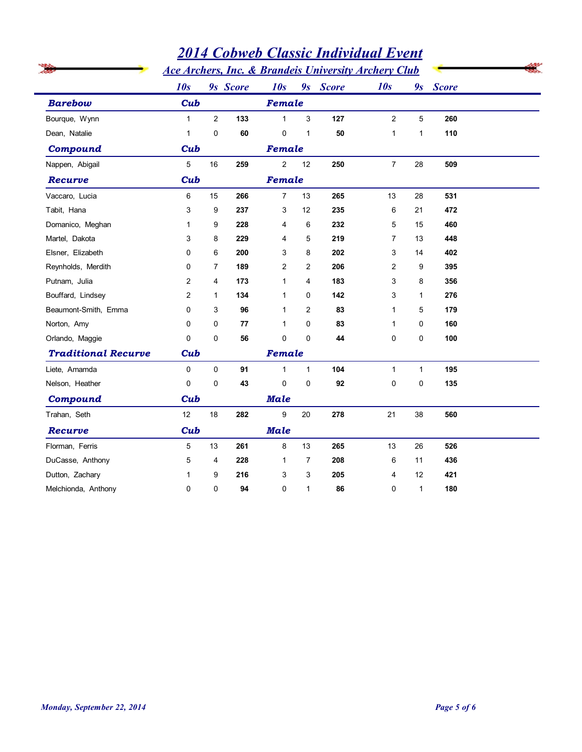|                                |                              | <b>2014 Cobweb Classic Individual Event</b> |           |                |                   |                                                                             |                                |                   |              |  |
|--------------------------------|------------------------------|---------------------------------------------|-----------|----------------|-------------------|-----------------------------------------------------------------------------|--------------------------------|-------------------|--------------|--|
| <b>Barebow</b>                 | 10s                          |                                             |           | 10s            |                   | <b>Ace Archers, Inc. &amp; Brandeis University Archery Club</b><br>9s Score | 10s                            |                   | <b>Score</b> |  |
|                                | Cub                          |                                             | 9s Score  | Female         |                   |                                                                             |                                | 9s                |              |  |
|                                |                              |                                             |           | $\mathbf{1}$   |                   |                                                                             |                                |                   |              |  |
| Bourque, Wynn<br>Dean, Natalie | $\mathbf{1}$<br>$\mathbf{1}$ | $\overline{c}$<br>$\mathbf 0$               | 133<br>60 | 0              | 3<br>$\mathbf{1}$ | 127<br>50                                                                   | $\overline{2}$<br>$\mathbf{1}$ | 5<br>$\mathbf{1}$ | 260<br>110   |  |
| <b>Compound</b>                | Cub                          |                                             |           | Female         |                   |                                                                             |                                |                   |              |  |
| Nappen, Abigail                | 5                            | 16                                          | 259       | $\overline{2}$ | 12                | 250                                                                         | $\overline{7}$                 | 28                | 509          |  |
| Recurve                        | Cub                          |                                             |           | Female         |                   |                                                                             |                                |                   |              |  |
| Vaccaro, Lucia                 | 6                            | 15                                          | 266       | $\overline{7}$ | 13                | 265                                                                         | 13                             | 28                | 531          |  |
| Tabit, Hana                    | 3                            | 9                                           | 237       | 3              | 12                | 235                                                                         | 6                              | 21                | 472          |  |
| Domanico, Meghan               | 1                            | 9                                           | 228       | 4              | 6                 | 232                                                                         | 5                              | 15                | 460          |  |
| Martel, Dakota                 | 3                            | 8                                           | 229       | 4              | 5                 | 219                                                                         | $\overline{7}$                 | 13                | 448          |  |
| Elsner, Elizabeth              | $\mathbf 0$                  | 6                                           | 200       | 3              | 8                 | 202                                                                         | 3                              | 14                | 402          |  |
| Reynholds, Merdith             | $\mathbf 0$                  | 7                                           | 189       | $\overline{2}$ | $\overline{2}$    | 206                                                                         | $\overline{2}$                 | 9                 | 395          |  |
| Putnam, Julia                  | $\overline{2}$               | 4                                           | 173       | $\mathbf{1}$   | 4                 | 183                                                                         | 3                              | 8                 | 356          |  |
| Bouffard, Lindsey              | $\overline{2}$               | $\mathbf{1}$                                | 134       | $\mathbf{1}$   | 0                 | 142                                                                         | 3                              | $\mathbf{1}$      | 276          |  |
| Beaumont-Smith, Emma           | 0                            | 3                                           | 96        | $\mathbf{1}$   | $\overline{2}$    | 83                                                                          | $\mathbf{1}$                   | 5                 | 179          |  |
| Norton, Amy                    | $\Omega$                     | 0                                           | 77        | $\mathbf{1}$   | 0                 | 83                                                                          | $\mathbf{1}$                   | 0                 | 160          |  |
| Orlando, Maggie                | $\mathbf 0$                  | $\mathbf 0$                                 | 56        | $\mathbf 0$    | 0                 | 44                                                                          | 0                              | 0                 | 100          |  |
| <b>Traditional Recurve</b>     | Cub                          |                                             |           | Female         |                   |                                                                             |                                |                   |              |  |
| Liete, Amamda                  | $\mathbf 0$                  | 0                                           | 91        | $\mathbf{1}$   | $\mathbf{1}$      | 104                                                                         | $\mathbf{1}$                   | $\mathbf 1$       | 195          |  |
| Nelson, Heather                | 0                            | $\pmb{0}$                                   | 43        | 0              | 0                 | $92\,$                                                                      | 0                              | 0                 | 135          |  |
| Compound                       | Cub                          |                                             |           | <b>Male</b>    |                   |                                                                             |                                |                   |              |  |
| Trahan, Seth                   | 12                           | 18                                          | 282       | 9              | $20\,$            | 278                                                                         | 21                             | 38                | 560          |  |
| Recurve                        | Cub                          |                                             |           | <b>Male</b>    |                   |                                                                             |                                |                   |              |  |
| Florman, Ferris                | 5                            | 13                                          | 261       | 8              | 13                | 265                                                                         | 13                             | $26\,$            | 526          |  |
| DuCasse, Anthony               | 5                            | 4                                           | 228       | $\mathbf{1}$   | $\overline{7}$    | 208                                                                         | 6                              | 11                | 436          |  |
| Dutton, Zachary                | 1                            | 9                                           | 216       | 3              | 3                 | 205                                                                         | 4                              | 12                | 421          |  |
| Melchionda, Anthony            | 0                            | $\pmb{0}$                                   | 94        | $\pmb{0}$      | $\mathbf{1}$      | 86                                                                          | 0                              | $\mathbf{1}$      | 180          |  |